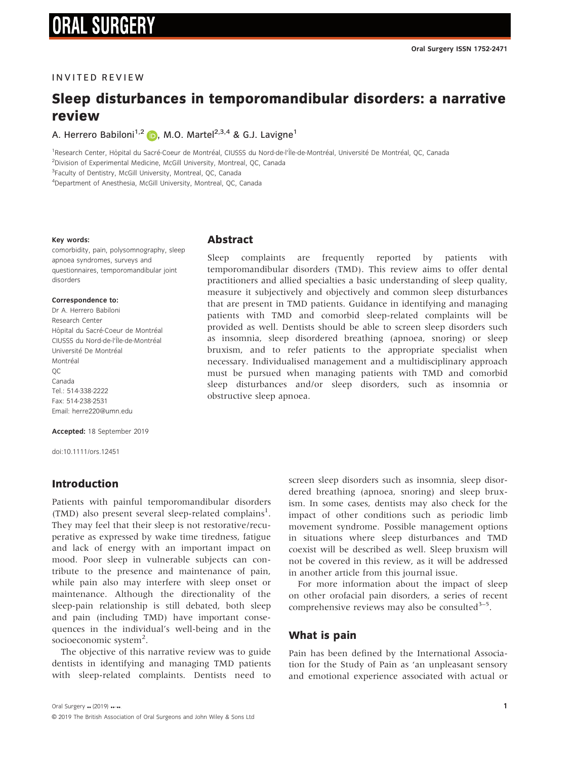### **INVITED REVIEW**

# Sleep disturbances in temporomandibular disorders: a narrative review

A. Herrero Babiloni<sup>1,2</sup> (D), M.O. Martel<sup>2,3,4</sup> & G.J. Lavigne<sup>1</sup>

<sup>1</sup>Research Center, Hôpital du Sacré-Coeur de Montréal, CIUSSS du Nord-de-l'Île-de-Montréal, Université De Montréal, QC, Canada <sup>2</sup>Division of Experimental Medicine, McGill University, Montreal, QC, Canada

<sup>3</sup>Faculty of Dentistry, McGill University, Montreal, QC, Canada

4 Department of Anesthesia, McGill University, Montreal, QC, Canada

### Key words:

comorbidity, pain, polysomnography, sleep apnoea syndromes, surveys and questionnaires, temporomandibular joint disorders

### Correspondence to:

Dr A. Herrero Babiloni Research Center Hôpital du Sacré-Coeur de Montréal CIUSSS du Nord-de-l'^Ile-de-Montreal - Université De Montréal Montréal QC Canada Tel.: 514-338-2222 Fax: 514-238-2531 Email: [herre220@umn.edu](mailto:)

### Accepted: 18 September 2019

doi:10.1111/ors.12451

### Introduction

Patients with painful temporomandibular disorders (TMD) also present several sleep-related complains<sup>1</sup>. They may feel that their sleep is not restorative/recuperative as expressed by wake time tiredness, fatigue and lack of energy with an important impact on mood. Poor sleep in vulnerable subjects can contribute to the presence and maintenance of pain, while pain also may interfere with sleep onset or maintenance. Although the directionality of the sleep-pain relationship is still debated, both sleep and pain (including TMD) have important consequences in the individual's well-being and in the socioeconomic system<sup>2</sup>.

The objective of this narrative review was to guide dentists in identifying and managing TMD patients with sleep-related complaints. Dentists need to

### Abstract

Sleep complaints are frequently reported by patients with temporomandibular disorders (TMD). This review aims to offer dental practitioners and allied specialties a basic understanding of sleep quality, measure it subjectively and objectively and common sleep disturbances that are present in TMD patients. Guidance in identifying and managing patients with TMD and comorbid sleep-related complaints will be provided as well. Dentists should be able to screen sleep disorders such as insomnia, sleep disordered breathing (apnoea, snoring) or sleep bruxism, and to refer patients to the appropriate specialist when necessary. Individualised management and a multidisciplinary approach must be pursued when managing patients with TMD and comorbid sleep disturbances and/or sleep disorders, such as insomnia or obstructive sleep apnoea.

> screen sleep disorders such as insomnia, sleep disordered breathing (apnoea, snoring) and sleep bruxism. In some cases, dentists may also check for the impact of other conditions such as periodic limb movement syndrome. Possible management options in situations where sleep disturbances and TMD coexist will be described as well. Sleep bruxism will not be covered in this review, as it will be addressed in another article from this journal issue.

> For more information about the impact of sleep on other orofacial pain disorders, a series of recent comprehensive reviews may also be consulted $3-5$ .

### What is pain

Pain has been defined by the International Association for the Study of Pain as 'an unpleasant sensory and emotional experience associated with actual or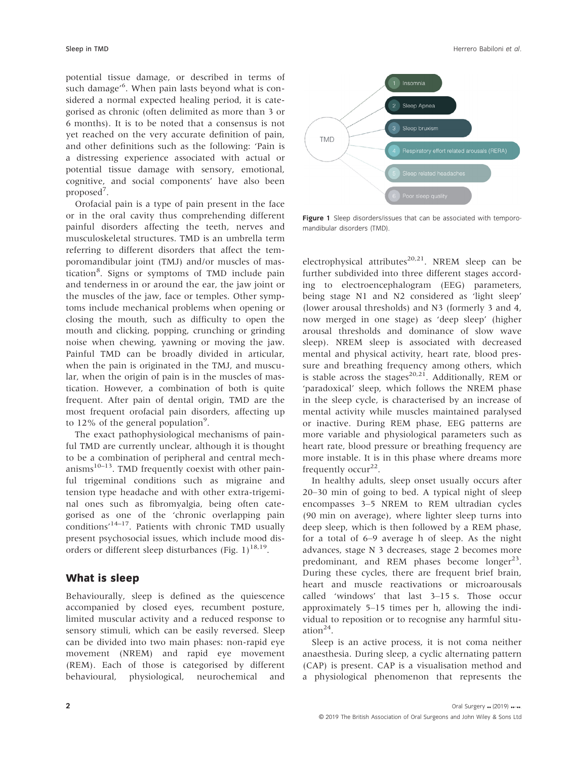potential tissue damage, or described in terms of such damage'6 . When pain lasts beyond what is considered a normal expected healing period, it is categorised as chronic (often delimited as more than 3 or 6 months). It is to be noted that a consensus is not yet reached on the very accurate definition of pain, and other definitions such as the following: 'Pain is a distressing experience associated with actual or potential tissue damage with sensory, emotional, cognitive, and social components' have also been

proposed<sup>7</sup>. Orofacial pain is a type of pain present in the face or in the oral cavity thus comprehending different painful disorders affecting the teeth, nerves and musculoskeletal structures. TMD is an umbrella term referring to different disorders that affect the temporomandibular joint (TMJ) and/or muscles of mastication<sup>8</sup>. Signs or symptoms of TMD include pain and tenderness in or around the ear, the jaw joint or the muscles of the jaw, face or temples. Other symptoms include mechanical problems when opening or closing the mouth, such as difficulty to open the mouth and clicking, popping, crunching or grinding noise when chewing, yawning or moving the jaw. Painful TMD can be broadly divided in articular, when the pain is originated in the TMJ, and muscular, when the origin of pain is in the muscles of mastication. However, a combination of both is quite frequent. After pain of dental origin, TMD are the most frequent orofacial pain disorders, affecting up to 12% of the general population<sup>9</sup>.

The exact pathophysiological mechanisms of painful TMD are currently unclear, although it is thought to be a combination of peripheral and central mechanisms $10-13$ . TMD frequently coexist with other painful trigeminal conditions such as migraine and tension type headache and with other extra-trigeminal ones such as fibromyalgia, being often categorised as one of the 'chronic overlapping pain conditions'14–17. Patients with chronic TMD usually present psychosocial issues, which include mood disorders or different sleep disturbances (Fig. 1)<sup>18,19</sup>.

### What is sleep

Behaviourally, sleep is defined as the quiescence accompanied by closed eyes, recumbent posture, limited muscular activity and a reduced response to sensory stimuli, which can be easily reversed. Sleep can be divided into two main phases: non-rapid eye movement (NREM) and rapid eye movement (REM). Each of those is categorised by different behavioural, physiological, neurochemical and



Figure 1 Sleep disorders/issues that can be associated with temporomandibular disorders (TMD).

electrophysical attributes<sup>20,21</sup>. NREM sleep can be further subdivided into three different stages according to electroencephalogram (EEG) parameters, being stage N1 and N2 considered as 'light sleep' (lower arousal thresholds) and N3 (formerly 3 and 4, now merged in one stage) as 'deep sleep' (higher arousal thresholds and dominance of slow wave sleep). NREM sleep is associated with decreased mental and physical activity, heart rate, blood pressure and breathing frequency among others, which is stable across the stages<sup>20,21</sup>. Additionally, REM or 'paradoxical' sleep, which follows the NREM phase in the sleep cycle, is characterised by an increase of mental activity while muscles maintained paralysed or inactive. During REM phase, EEG patterns are more variable and physiological parameters such as heart rate, blood pressure or breathing frequency are more instable. It is in this phase where dreams more frequently occur<sup>22</sup>.

In healthy adults, sleep onset usually occurs after 20–30 min of going to bed. A typical night of sleep encompasses 3–5 NREM to REM ultradian cycles (90 min on average), where lighter sleep turns into deep sleep, which is then followed by a REM phase, for a total of 6–9 average h of sleep. As the night advances, stage N 3 decreases, stage 2 becomes more predominant, and REM phases become  $longer<sup>23</sup>$ . During these cycles, there are frequent brief brain, heart and muscle reactivations or microarousals called 'windows' that last 3–15 s. Those occur approximately 5–15 times per h, allowing the individual to reposition or to recognise any harmful situation $^{24}$ .

Sleep is an active process, it is not coma neither anaesthesia. During sleep, a cyclic alternating pattern (CAP) is present. CAP is a visualisation method and a physiological phenomenon that represents the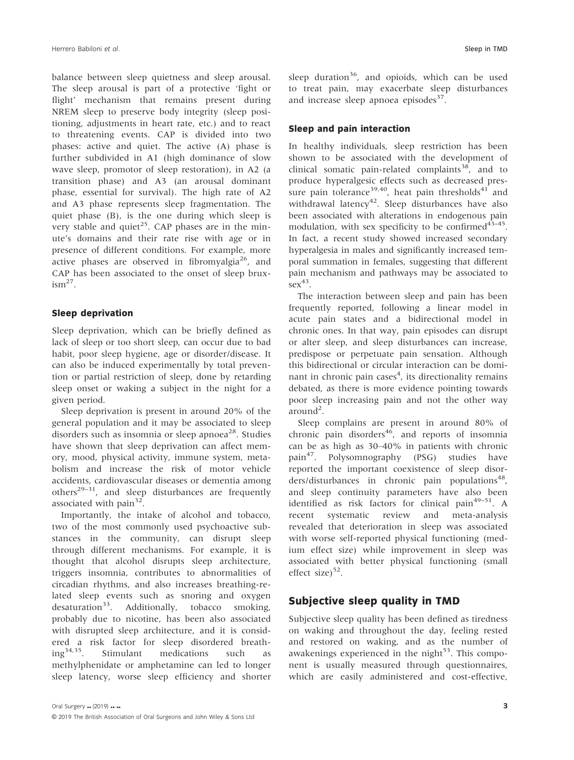balance between sleep quietness and sleep arousal. The sleep arousal is part of a protective 'fight or flight' mechanism that remains present during NREM sleep to preserve body integrity (sleep positioning, adjustments in heart rate, etc.) and to react to threatening events. CAP is divided into two phases: active and quiet. The active (A) phase is further subdivided in A1 (high dominance of slow wave sleep, promotor of sleep restoration), in A2 (a transition phase) and A3 (an arousal dominant phase, essential for survival). The high rate of A2 and A3 phase represents sleep fragmentation. The quiet phase (B), is the one during which sleep is very stable and quiet<sup>25</sup>. CAP phases are in the minute's domains and their rate rise with age or in presence of different conditions. For example, more active phases are observed in fibromyalgia<sup>26</sup>, and CAP has been associated to the onset of sleep brux- $\mathrm{ism}^{27}$ .

### Sleep deprivation

Sleep deprivation, which can be briefly defined as lack of sleep or too short sleep, can occur due to bad habit, poor sleep hygiene, age or disorder/disease. It can also be induced experimentally by total prevention or partial restriction of sleep, done by retarding sleep onset or waking a subject in the night for a given period.

Sleep deprivation is present in around 20% of the general population and it may be associated to sleep disorders such as insomnia or sleep apnoea<sup>28</sup>. Studies have shown that sleep deprivation can affect memory, mood, physical activity, immune system, metabolism and increase the risk of motor vehicle accidents, cardiovascular diseases or dementia among others<sup>29–31</sup>, and sleep disturbances are frequently associated with pain $32$ .

Importantly, the intake of alcohol and tobacco, two of the most commonly used psychoactive substances in the community, can disrupt sleep through different mechanisms. For example, it is thought that alcohol disrupts sleep architecture, triggers insomnia, contributes to abnormalities of circadian rhythms, and also increases breathing-related sleep events such as snoring and oxygen desaturation<sup>33</sup>. Additionally, tobacco smoking, probably due to nicotine, has been also associated with disrupted sleep architecture, and it is considered a risk factor for sleep disordered breath-<br>ing<sup>34,35</sup>. Stimulant medications such as Stimulant medications such as methylphenidate or amphetamine can led to longer sleep latency, worse sleep efficiency and shorter sleep duration<sup>36</sup>, and opioids, which can be used to treat pain, may exacerbate sleep disturbances and increase sleep apnoea episodes $37$ .

### Sleep and pain interaction

In healthy individuals, sleep restriction has been shown to be associated with the development of clinical somatic pain-related complaints<sup>38</sup>, and to produce hyperalgesic effects such as decreased pressure pain tolerance<sup>39,40</sup>, heat pain thresholds<sup>41</sup> and withdrawal latency<sup>42</sup>. Sleep disturbances have also been associated with alterations in endogenous pain modulation, with sex specificity to be confirmed  $43-45$ . In fact, a recent study showed increased secondary hyperalgesia in males and significantly increased temporal summation in females, suggesting that different pain mechanism and pathways may be associated to  $sex^{43}$ .

The interaction between sleep and pain has been frequently reported, following a linear model in acute pain states and a bidirectional model in chronic ones. In that way, pain episodes can disrupt or alter sleep, and sleep disturbances can increase, predispose or perpetuate pain sensation. Although this bidirectional or circular interaction can be dominant in chronic pain cases<sup>4</sup>, its directionality remains debated, as there is more evidence pointing towards poor sleep increasing pain and not the other way around<sup>2</sup>.

Sleep complains are present in around 80% of chronic pain disorders<sup>46</sup>, and reports of insomnia can be as high as 30–40% in patients with chronic pain<sup>47</sup>. Polysomnography (PSG) studies have reported the important coexistence of sleep disorders/disturbances in chronic pain populations<sup>48</sup>, and sleep continuity parameters have also been identified as risk factors for clinical pain<sup>49-51</sup>. A recent systematic review and meta-analysis revealed that deterioration in sleep was associated with worse self-reported physical functioning (medium effect size) while improvement in sleep was associated with better physical functioning (small effect size $52$ .

### Subjective sleep quality in TMD

Subjective sleep quality has been defined as tiredness on waking and throughout the day, feeling rested and restored on waking, and as the number of awakenings experienced in the night $5<sup>3</sup>$ . This component is usually measured through questionnaires, which are easily administered and cost-effective,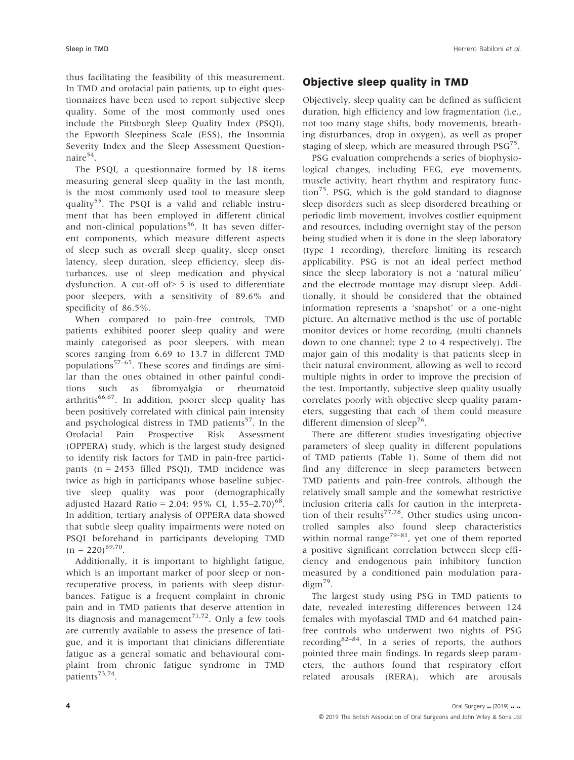thus facilitating the feasibility of this measurement. In TMD and orofacial pain patients, up to eight questionnaires have been used to report subjective sleep quality. Some of the most commonly used ones include the Pittsburgh Sleep Quality Index (PSQI), the Epworth Sleepiness Scale (ESS), the Insomnia Severity Index and the Sleep Assessment Questionnaire $54$ .

The PSQI, a questionnaire formed by 18 items measuring general sleep quality in the last month, is the most commonly used tool to measure sleep quality<sup>55</sup>. The PSQI is a valid and reliable instrument that has been employed in different clinical and non-clinical populations<sup>56</sup>. It has seven different components, which measure different aspects of sleep such as overall sleep quality, sleep onset latency, sleep duration, sleep efficiency, sleep disturbances, use of sleep medication and physical dysfunction. A cut-off of> 5 is used to differentiate poor sleepers, with a sensitivity of 89.6% and specificity of 86.5%.

When compared to pain-free controls, TMD patients exhibited poorer sleep quality and were mainly categorised as poor sleepers, with mean scores ranging from 6.69 to 13.7 in different TMD populations $57-65$ . These scores and findings are similar than the ones obtained in other painful conditions such as fibromyalgia or rheumatoid arthritis<sup>66,67</sup>. In addition, poorer sleep quality has been positively correlated with clinical pain intensity and psychological distress in TMD patients<sup>57</sup>. In the Orofacial Pain Prospective Risk Assessment (OPPERA) study, which is the largest study designed to identify risk factors for TMD in pain-free participants (n = 2453 filled PSQI), TMD incidence was twice as high in participants whose baseline subjective sleep quality was poor (demographically adjusted Hazard Ratio = 2.04; 95% CI,  $1.55-2.70$ <sup>68</sup>. In addition, tertiary analysis of OPPERA data showed that subtle sleep quality impairments were noted on PSQI beforehand in participants developing TMD  $(n = 220)^{69,70}$ .

Additionally, it is important to highlight fatigue, which is an important marker of poor sleep or nonrecuperative process, in patients with sleep disturbances. Fatigue is a frequent complaint in chronic pain and in TMD patients that deserve attention in its diagnosis and management<sup> $71,72$ </sup>. Only a few tools are currently available to assess the presence of fatigue, and it is important that clinicians differentiate fatigue as a general somatic and behavioural complaint from chronic fatigue syndrome in TMD patients<sup>73,74</sup>.

## Objective sleep quality in TMD

Objectively, sleep quality can be defined as sufficient duration, high efficiency and low fragmentation (i.e., not too many stage shifts, body movements, breathing disturbances, drop in oxygen), as well as proper staging of sleep, which are measured through  $PSG^{75}$ .

PSG evaluation comprehends a series of biophysiological changes, including EEG, eye movements, muscle activity, heart rhythm and respiratory function<sup>75</sup>. PSG, which is the gold standard to diagnose sleep disorders such as sleep disordered breathing or periodic limb movement, involves costlier equipment and resources, including overnight stay of the person being studied when it is done in the sleep laboratory (type 1 recording), therefore limiting its research applicability. PSG is not an ideal perfect method since the sleep laboratory is not a 'natural milieu' and the electrode montage may disrupt sleep. Additionally, it should be considered that the obtained information represents a 'snapshot' or a one-night picture. An alternative method is the use of portable monitor devices or home recording, (multi channels down to one channel; type 2 to 4 respectively). The major gain of this modality is that patients sleep in their natural environment, allowing as well to record multiple nights in order to improve the precision of the test. Importantly, subjective sleep quality usually correlates poorly with objective sleep quality parameters, suggesting that each of them could measure different dimension of sleep<sup>76</sup>.

There are different studies investigating objective parameters of sleep quality in different populations of TMD patients (Table 1). Some of them did not find any difference in sleep parameters between TMD patients and pain-free controls, although the relatively small sample and the somewhat restrictive inclusion criteria calls for caution in the interpretation of their results<sup>77,78</sup>. Other studies using uncontrolled samples also found sleep characteristics within normal range<sup>79–81</sup>, yet one of them reported a positive significant correlation between sleep efficiency and endogenous pain inhibitory function measured by a conditioned pain modulation para- $\text{digm}^{79}$ .

The largest study using PSG in TMD patients to date, revealed interesting differences between 124 females with myofascial TMD and 64 matched painfree controls who underwent two nights of PSG recording<sup>82–84</sup>. In a series of reports, the authors pointed three main findings. In regards sleep parameters, the authors found that respiratory effort related arousals (RERA), which are arousals

4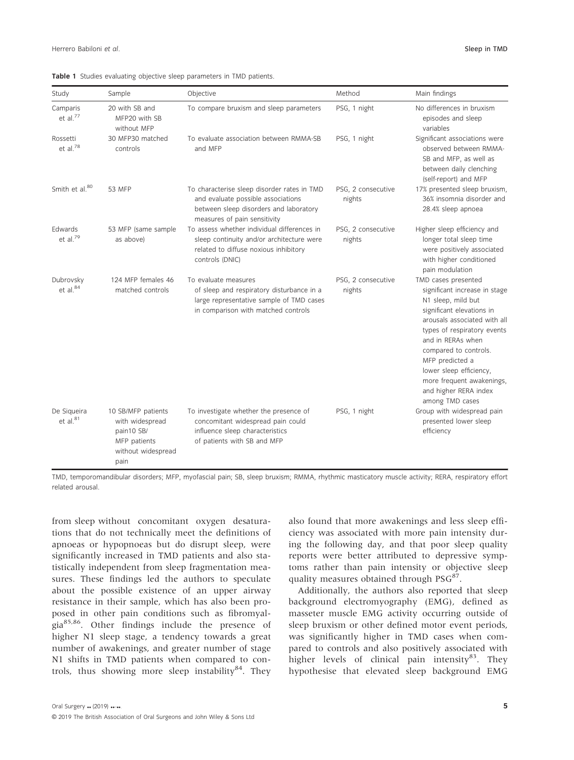| Study                               | Sample                                                                                            | Objective                                                                                                                                                   | Method                       | Main findings                                                                                                                                                                                                                                                                                                                               |
|-------------------------------------|---------------------------------------------------------------------------------------------------|-------------------------------------------------------------------------------------------------------------------------------------------------------------|------------------------------|---------------------------------------------------------------------------------------------------------------------------------------------------------------------------------------------------------------------------------------------------------------------------------------------------------------------------------------------|
| Camparis<br>et al. <sup>77</sup>    | 20 with SB and<br>MFP20 with SB<br>without MFP                                                    | To compare bruxism and sleep parameters                                                                                                                     | PSG, 1 night                 | No differences in bruxism<br>episodes and sleep<br>variables                                                                                                                                                                                                                                                                                |
| Rossetti<br>et al. $78$             | 30 MFP30 matched<br>controls                                                                      | To evaluate association between RMMA-SB<br>and MFP                                                                                                          | PSG, 1 night                 | Significant associations were<br>observed between RMMA-<br>SB and MFP, as well as<br>between daily clenching<br>(self-report) and MFP                                                                                                                                                                                                       |
| Smith et al. <sup>80</sup>          | 53 MFP                                                                                            | To characterise sleep disorder rates in TMD<br>and evaluate possible associations<br>between sleep disorders and laboratory<br>measures of pain sensitivity | PSG, 2 consecutive<br>nights | 17% presented sleep bruxism,<br>36% insomnia disorder and<br>28.4% sleep apnoea                                                                                                                                                                                                                                                             |
| Edwards<br>et al. $79$              | 53 MFP (same sample<br>as above)                                                                  | To assess whether individual differences in<br>sleep continuity and/or architecture were<br>related to diffuse noxious inhibitory<br>controls (DNIC)        | PSG, 2 consecutive<br>nights | Higher sleep efficiency and<br>longer total sleep time<br>were positively associated<br>with higher conditioned<br>pain modulation                                                                                                                                                                                                          |
| Dubrovsky<br>et al. $84$            | 124 MFP females 46<br>matched controls                                                            | To evaluate measures<br>of sleep and respiratory disturbance in a<br>large representative sample of TMD cases<br>in comparison with matched controls        | PSG, 2 consecutive<br>nights | TMD cases presented<br>significant increase in stage<br>N1 sleep, mild but<br>significant elevations in<br>arousals associated with all<br>types of respiratory events<br>and in RERAs when<br>compared to controls.<br>MFP predicted a<br>lower sleep efficiency,<br>more frequent awakenings,<br>and higher RERA index<br>among TMD cases |
| De Siqueira<br>et al. <sup>81</sup> | 10 SB/MFP patients<br>with widespread<br>pain10 SB/<br>MFP patients<br>without widespread<br>pain | To investigate whether the presence of<br>concomitant widespread pain could<br>influence sleep characteristics<br>of patients with SB and MFP               | PSG, 1 night                 | Group with widespread pain<br>presented lower sleep<br>efficiency                                                                                                                                                                                                                                                                           |

Table 1 Studies evaluating objective sleep parameters in TMD patients.

TMD, temporomandibular disorders; MFP, myofascial pain; SB, sleep bruxism; RMMA, rhythmic masticatory muscle activity; RERA, respiratory effort related arousal.

from sleep without concomitant oxygen desaturations that do not technically meet the definitions of apnoeas or hypopnoeas but do disrupt sleep, were significantly increased in TMD patients and also statistically independent from sleep fragmentation measures. These findings led the authors to speculate about the possible existence of an upper airway resistance in their sample, which has also been proposed in other pain conditions such as fibromyalgia85,86. Other findings include the presence of higher N1 sleep stage, a tendency towards a great number of awakenings, and greater number of stage N1 shifts in TMD patients when compared to controls, thus showing more sleep instability $84$ . They also found that more awakenings and less sleep efficiency was associated with more pain intensity during the following day, and that poor sleep quality reports were better attributed to depressive symptoms rather than pain intensity or objective sleep quality measures obtained through  $PSG^{87}$ .

Additionally, the authors also reported that sleep background electromyography (EMG), defined as masseter muscle EMG activity occurring outside of sleep bruxism or other defined motor event periods, was significantly higher in TMD cases when compared to controls and also positively associated with higher levels of clinical pain intensity $83$ . They hypothesise that elevated sleep background EMG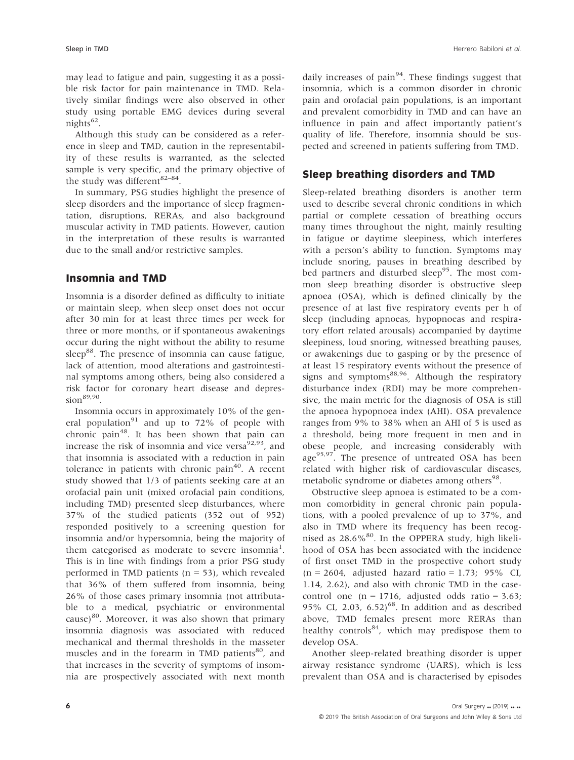may lead to fatigue and pain, suggesting it as a possible risk factor for pain maintenance in TMD. Relatively similar findings were also observed in other study using portable EMG devices during several nights $62$ .

Although this study can be considered as a reference in sleep and TMD, caution in the representability of these results is warranted, as the selected sample is very specific, and the primary objective of the study was different<sup>82-84</sup>.

In summary, PSG studies highlight the presence of sleep disorders and the importance of sleep fragmentation, disruptions, RERAs, and also background muscular activity in TMD patients. However, caution in the interpretation of these results is warranted due to the small and/or restrictive samples.

### Insomnia and TMD

Insomnia is a disorder defined as difficulty to initiate or maintain sleep, when sleep onset does not occur after 30 min for at least three times per week for three or more months, or if spontaneous awakenings occur during the night without the ability to resume sleep<sup>88</sup>. The presence of insomnia can cause fatigue, lack of attention, mood alterations and gastrointestinal symptoms among others, being also considered a risk factor for coronary heart disease and depres $sion^{89,90}$ .

Insomnia occurs in approximately 10% of the general population<sup>91</sup> and up to 72% of people with chronic pain<sup>48</sup>. It has been shown that pain can increase the risk of insomnia and vice versa $92.93$ , and that insomnia is associated with a reduction in pain tolerance in patients with chronic pain<sup>40</sup>. A recent study showed that 1/3 of patients seeking care at an orofacial pain unit (mixed orofacial pain conditions, including TMD) presented sleep disturbances, where 37% of the studied patients (352 out of 952) responded positively to a screening question for insomnia and/or hypersomnia, being the majority of them categorised as moderate to severe insomnia<sup>1</sup>. This is in line with findings from a prior PSG study performed in TMD patients ( $n = 53$ ), which revealed that 36% of them suffered from insomnia, being 26% of those cases primary insomnia (not attributable to a medical, psychiatric or environmental cause) $80$ . Moreover, it was also shown that primary insomnia diagnosis was associated with reduced mechanical and thermal thresholds in the masseter muscles and in the forearm in TMD patients<sup>80</sup>, and that increases in the severity of symptoms of insomnia are prospectively associated with next month

daily increases of pain $94$ . These findings suggest that insomnia, which is a common disorder in chronic pain and orofacial pain populations, is an important and prevalent comorbidity in TMD and can have an influence in pain and affect importantly patient's quality of life. Therefore, insomnia should be suspected and screened in patients suffering from TMD.

## Sleep breathing disorders and TMD

Sleep-related breathing disorders is another term used to describe several chronic conditions in which partial or complete cessation of breathing occurs many times throughout the night, mainly resulting in fatigue or daytime sleepiness, which interferes with a person's ability to function. Symptoms may include snoring, pauses in breathing described by bed partners and disturbed sleep<sup>95</sup>. The most common sleep breathing disorder is obstructive sleep apnoea (OSA), which is defined clinically by the presence of at last five respiratory events per h of sleep (including apnoeas, hypopnoeas and respiratory effort related arousals) accompanied by daytime sleepiness, loud snoring, witnessed breathing pauses, or awakenings due to gasping or by the presence of at least 15 respiratory events without the presence of signs and symptoms $88,96$ . Although the respiratory disturbance index (RDI) may be more comprehensive, the main metric for the diagnosis of OSA is still the apnoea hypopnoea index (AHI). OSA prevalence ranges from 9% to 38% when an AHI of 5 is used as a threshold, being more frequent in men and in obese people, and increasing considerably with age $95,97$ . The presence of untreated OSA has been related with higher risk of cardiovascular diseases, metabolic syndrome or diabetes among others<sup>98</sup>.

Obstructive sleep apnoea is estimated to be a common comorbidity in general chronic pain populations, with a pooled prevalence of up to 37%, and also in TMD where its frequency has been recognised as  $28.6\%$ <sup>80</sup>. In the OPPERA study, high likelihood of OSA has been associated with the incidence of first onset TMD in the prospective cohort study  $(n = 2604,$  adjusted hazard ratio = 1.73; 95% CI, 1.14, 2.62), and also with chronic TMD in the casecontrol one ( $n = 1716$ , adjusted odds ratio = 3.63; 95% CI, 2.03,  $6.52$ <sup>68</sup>. In addition and as described above, TMD females present more RERAs than healthy controls<sup>84</sup>, which may predispose them to develop OSA.

Another sleep-related breathing disorder is upper airway resistance syndrome (UARS), which is less prevalent than OSA and is characterised by episodes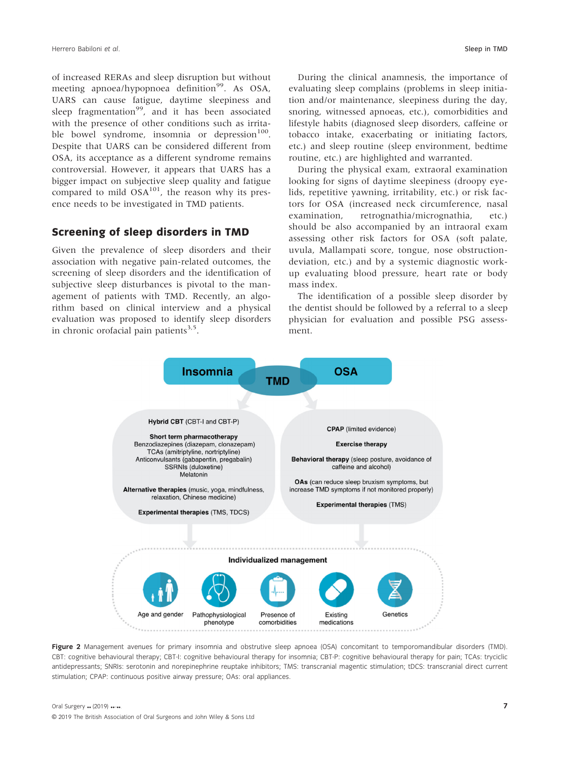of increased RERAs and sleep disruption but without meeting apnoea/hypopnoea definition<sup>99</sup>. As OSA, UARS can cause fatigue, daytime sleepiness and sleep fragmentation<sup>99</sup>, and it has been associated with the presence of other conditions such as irritable bowel syndrome, insomnia or depression<sup>100</sup>. Despite that UARS can be considered different from OSA, its acceptance as a different syndrome remains controversial. However, it appears that UARS has a bigger impact on subjective sleep quality and fatigue compared to mild  $OSA<sup>101</sup>$ , the reason why its presence needs to be investigated in TMD patients.

## Screening of sleep disorders in TMD

Given the prevalence of sleep disorders and their association with negative pain-related outcomes, the screening of sleep disorders and the identification of subjective sleep disturbances is pivotal to the management of patients with TMD. Recently, an algorithm based on clinical interview and a physical evaluation was proposed to identify sleep disorders in chronic orofacial pain patients $3.5$ .

During the clinical anamnesis, the importance of evaluating sleep complains (problems in sleep initiation and/or maintenance, sleepiness during the day, snoring, witnessed apnoeas, etc.), comorbidities and lifestyle habits (diagnosed sleep disorders, caffeine or tobacco intake, exacerbating or initiating factors, etc.) and sleep routine (sleep environment, bedtime routine, etc.) are highlighted and warranted.

During the physical exam, extraoral examination looking for signs of daytime sleepiness (droopy eyelids, repetitive yawning, irritability, etc.) or risk factors for OSA (increased neck circumference, nasal examination, retrognathia/micrognathia, etc.) should be also accompanied by an intraoral exam assessing other risk factors for OSA (soft palate, uvula, Mallampati score, tongue, nose obstructiondeviation, etc.) and by a systemic diagnostic workup evaluating blood pressure, heart rate or body mass index.

The identification of a possible sleep disorder by the dentist should be followed by a referral to a sleep physician for evaluation and possible PSG assessment.



Figure 2 Management avenues for primary insomnia and obstrutive sleep apnoea (OSA) concomitant to temporomandibular disorders (TMD). CBT: cognitive behavioural therapy; CBT-I: cognitive behavioural therapy for insomnia; CBT-P: cognitive behavioural therapy for pain; TCAs: tryciclic antidepressants; SNRIs: serotonin and norepinephrine reuptake inhibitors; TMS: transcranial magentic stimulation; tDCS: transcranial direct current stimulation; CPAP: continuous positive airway pressure; OAs: oral appliances.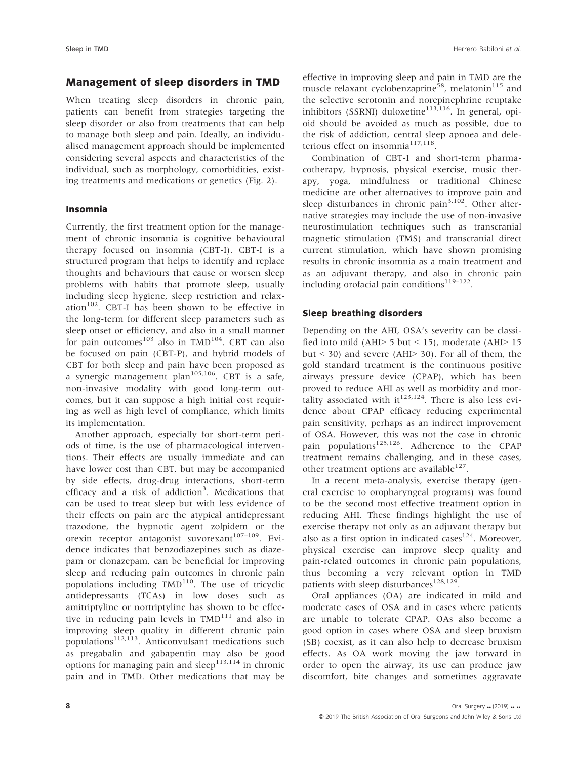## Management of sleep disorders in TMD

When treating sleep disorders in chronic pain, patients can benefit from strategies targeting the sleep disorder or also from treatments that can help to manage both sleep and pain. Ideally, an individualised management approach should be implemented considering several aspects and characteristics of the individual, such as morphology, comorbidities, existing treatments and medications or genetics (Fig. 2).

### Insomnia

Currently, the first treatment option for the management of chronic insomnia is cognitive behavioural therapy focused on insomnia (CBT-I). CBT-I is a structured program that helps to identify and replace thoughts and behaviours that cause or worsen sleep problems with habits that promote sleep, usually including sleep hygiene, sleep restriction and relaxation<sup>102</sup>. CBT-I has been shown to be effective in the long-term for different sleep parameters such as sleep onset or efficiency, and also in a small manner for pain outcomes<sup>103</sup> also in  $TMD<sup>104</sup>$ . CBT can also be focused on pain (CBT-P), and hybrid models of CBT for both sleep and pain have been proposed as a synergic management plan<sup>105,106</sup>. CBT is a safe, non-invasive modality with good long-term outcomes, but it can suppose a high initial cost requiring as well as high level of compliance, which limits its implementation.

Another approach, especially for short-term periods of time, is the use of pharmacological interventions. Their effects are usually immediate and can have lower cost than CBT, but may be accompanied by side effects, drug-drug interactions, short-term efficacy and a risk of addiction<sup>3</sup>. Medications that can be used to treat sleep but with less evidence of their effects on pain are the atypical antidepressant trazodone, the hypnotic agent zolpidem or the orexin receptor antagonist suvorexant<sup>107-109</sup>. Evidence indicates that benzodiazepines such as diazepam or clonazepam, can be beneficial for improving sleep and reducing pain outcomes in chronic pain populations including  $TMD<sup>110</sup>$ . The use of tricyclic antidepressants (TCAs) in low doses such as amitriptyline or nortriptyline has shown to be effective in reducing pain levels in  $TMD<sup>111</sup>$  and also in improving sleep quality in different chronic pain populations<sup>112,113</sup>. Anticonvulsant medications such as pregabalin and gabapentin may also be good options for managing pain and sleep<sup>113,114</sup> in chronic pain and in TMD. Other medications that may be

effective in improving sleep and pain in TMD are the muscle relaxant cyclobenzaprine<sup>58</sup>, melatonin<sup>115</sup> and the selective serotonin and norepinephrine reuptake inhibitors (SSRNI) duloxetine $113,116$ . In general, opioid should be avoided as much as possible, due to the risk of addiction, central sleep apnoea and deleterious effect on insomnia $117,118$ .

Combination of CBT-I and short-term pharmacotherapy, hypnosis, physical exercise, music therapy, yoga, mindfulness or traditional Chinese medicine are other alternatives to improve pain and sleep disturbances in chronic pain $3,102$ . Other alternative strategies may include the use of non-invasive neurostimulation techniques such as transcranial magnetic stimulation (TMS) and transcranial direct current stimulation, which have shown promising results in chronic insomnia as a main treatment and as an adjuvant therapy, and also in chronic pain including orofacial pain conditions<sup>119–122</sup>.

### Sleep breathing disorders

Depending on the AHI, OSA's severity can be classified into mild (AHI> 5 but < 15), moderate (AHI> 15 but  $\le$  30) and severe (AHI $>$  30). For all of them, the gold standard treatment is the continuous positive airways pressure device (CPAP), which has been proved to reduce AHI as well as morbidity and mortality associated with it<sup>123,124</sup>. There is also less evidence about CPAP efficacy reducing experimental pain sensitivity, perhaps as an indirect improvement of OSA. However, this was not the case in chronic pain populations<sup>125,126</sup>. Adherence to the CPAP treatment remains challenging, and in these cases, other treatment options are available $^{127}$ .

In a recent meta-analysis, exercise therapy (general exercise to oropharyngeal programs) was found to be the second most effective treatment option in reducing AHI. These findings highlight the use of exercise therapy not only as an adjuvant therapy but also as a first option in indicated cases<sup>124</sup>. Moreover, physical exercise can improve sleep quality and pain-related outcomes in chronic pain populations, thus becoming a very relevant option in TMD patients with sleep disturbances<sup>128,129</sup>.

Oral appliances (OA) are indicated in mild and moderate cases of OSA and in cases where patients are unable to tolerate CPAP. OAs also become a good option in cases where OSA and sleep bruxism (SB) coexist, as it can also help to decrease bruxism effects. As OA work moving the jaw forward in order to open the airway, its use can produce jaw discomfort, bite changes and sometimes aggravate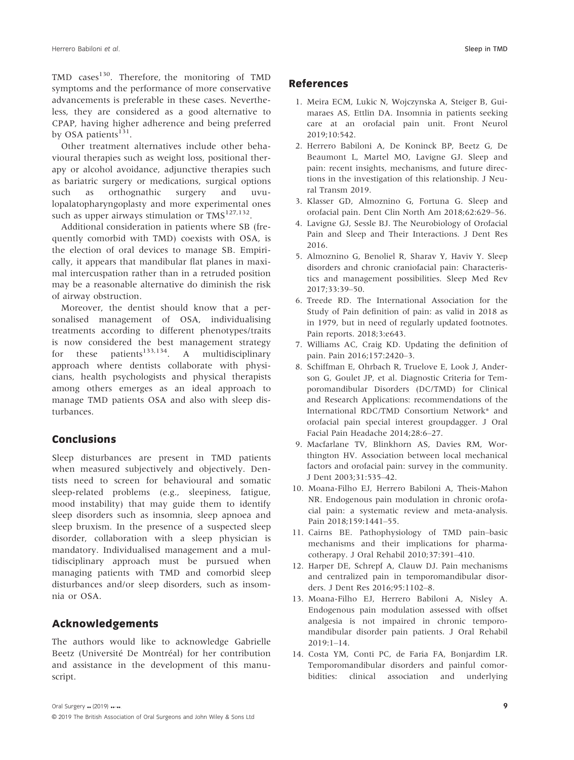TMD cases<sup>130</sup>. Therefore, the monitoring of TMD symptoms and the performance of more conservative advancements is preferable in these cases. Nevertheless, they are considered as a good alternative to CPAP, having higher adherence and being preferred by OSA patients $^{131}$ .

Other treatment alternatives include other behavioural therapies such as weight loss, positional therapy or alcohol avoidance, adjunctive therapies such as bariatric surgery or medications, surgical options such as orthognathic surgery and uvulopalatopharyngoplasty and more experimental ones such as upper airways stimulation or  $TMS^{127,132}$ .

Additional consideration in patients where SB (frequently comorbid with TMD) coexists with OSA, is the election of oral devices to manage SB. Empirically, it appears that mandibular flat planes in maximal intercuspation rather than in a retruded position may be a reasonable alternative do diminish the risk of airway obstruction.

Moreover, the dentist should know that a personalised management of OSA, individualising treatments according to different phenotypes/traits is now considered the best management strategy for these patients<sup>133,134</sup>. A multidisciplinary approach where dentists collaborate with physicians, health psychologists and physical therapists among others emerges as an ideal approach to manage TMD patients OSA and also with sleep disturbances.

### Conclusions

Sleep disturbances are present in TMD patients when measured subjectively and objectively. Dentists need to screen for behavioural and somatic sleep-related problems (e.g., sleepiness, fatigue, mood instability) that may guide them to identify sleep disorders such as insomnia, sleep apnoea and sleep bruxism. In the presence of a suspected sleep disorder, collaboration with a sleep physician is mandatory. Individualised management and a multidisciplinary approach must be pursued when managing patients with TMD and comorbid sleep disturbances and/or sleep disorders, such as insomnia or OSA.

## Acknowledgements

The authors would like to acknowledge Gabrielle Beetz (Université De Montréal) for her contribution and assistance in the development of this manuscript.

### References

- 1. Meira ECM, Lukic N, Wojczynska A, Steiger B, Guimaraes AS, Ettlin DA. Insomnia in patients seeking care at an orofacial pain unit. Front Neurol 2019;10:542.
- 2. Herrero Babiloni A, De Koninck BP, Beetz G, De Beaumont L, Martel MO, Lavigne GJ. Sleep and pain: recent insights, mechanisms, and future directions in the investigation of this relationship. J Neural Transm 2019.
- 3. Klasser GD, Almoznino G, Fortuna G. Sleep and orofacial pain. Dent Clin North Am 2018;62:629–56.
- 4. Lavigne GJ, Sessle BJ. The Neurobiology of Orofacial Pain and Sleep and Their Interactions. J Dent Res 2016.
- 5. Almoznino G, Benoliel R, Sharav Y, Haviv Y. Sleep disorders and chronic craniofacial pain: Characteristics and management possibilities. Sleep Med Rev 2017;33:39–50.
- 6. Treede RD. The International Association for the Study of Pain definition of pain: as valid in 2018 as in 1979, but in need of regularly updated footnotes. Pain reports. 2018;3:e643.
- 7. Williams AC, Craig KD. Updating the definition of pain. Pain 2016;157:2420–3.
- 8. Schiffman E, Ohrbach R, Truelove E, Look J, Anderson G, Goulet JP, et al. Diagnostic Criteria for Temporomandibular Disorders (DC/TMD) for Clinical and Research Applications: recommendations of the International RDC/TMD Consortium Network\* and orofacial pain special interest groupdagger. J Oral Facial Pain Headache 2014;28:6–27.
- 9. Macfarlane TV, Blinkhorn AS, Davies RM, Worthington HV. Association between local mechanical factors and orofacial pain: survey in the community. J Dent 2003;31:535–42.
- 10. Moana-Filho EJ, Herrero Babiloni A, Theis-Mahon NR. Endogenous pain modulation in chronic orofacial pain: a systematic review and meta-analysis. Pain 2018;159:1441–55.
- 11. Cairns BE. Pathophysiology of TMD pain–basic mechanisms and their implications for pharmacotherapy. J Oral Rehabil 2010;37:391–410.
- 12. Harper DE, Schrepf A, Clauw DJ. Pain mechanisms and centralized pain in temporomandibular disorders. J Dent Res 2016;95:1102–8.
- 13. Moana-Filho EJ, Herrero Babiloni A, Nisley A. Endogenous pain modulation assessed with offset analgesia is not impaired in chronic temporomandibular disorder pain patients. J Oral Rehabil 2019:1–14.
- 14. Costa YM, Conti PC, de Faria FA, Bonjardim LR. Temporomandibular disorders and painful comorbidities: clinical association and underlying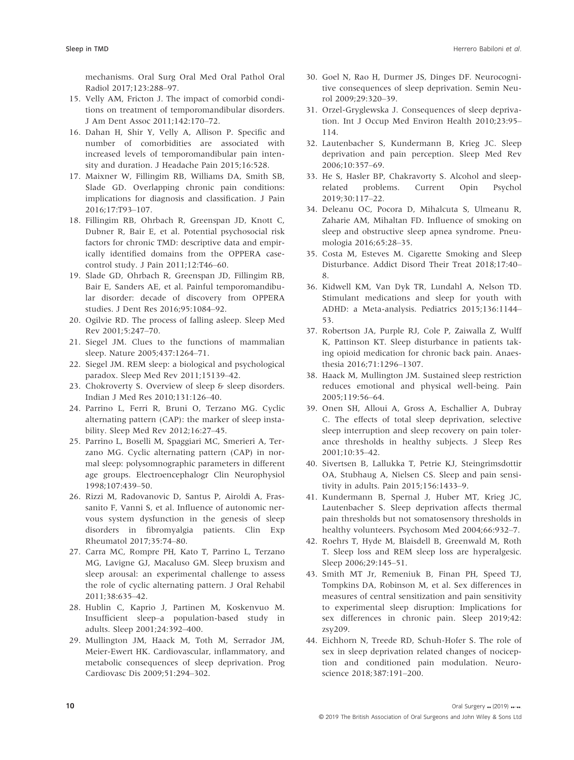mechanisms. Oral Surg Oral Med Oral Pathol Oral Radiol 2017;123:288–97.

- 15. Velly AM, Fricton J. The impact of comorbid conditions on treatment of temporomandibular disorders. J Am Dent Assoc 2011;142:170–72.
- 16. Dahan H, Shir Y, Velly A, Allison P. Specific and number of comorbidities are associated with increased levels of temporomandibular pain intensity and duration. J Headache Pain 2015;16:528.
- 17. Maixner W, Fillingim RB, Williams DA, Smith SB, Slade GD. Overlapping chronic pain conditions: implications for diagnosis and classification. J Pain 2016;17:T93–107.
- 18. Fillingim RB, Ohrbach R, Greenspan JD, Knott C, Dubner R, Bair E, et al. Potential psychosocial risk factors for chronic TMD: descriptive data and empirically identified domains from the OPPERA casecontrol study. J Pain 2011;12:T46–60.
- 19. Slade GD, Ohrbach R, Greenspan JD, Fillingim RB, Bair E, Sanders AE, et al. Painful temporomandibular disorder: decade of discovery from OPPERA studies. J Dent Res 2016;95:1084–92.
- 20. Ogilvie RD. The process of falling asleep. Sleep Med Rev 2001;5:247–70.
- 21. Siegel JM. Clues to the functions of mammalian sleep. Nature 2005;437:1264–71.
- 22. Siegel JM. REM sleep: a biological and psychological paradox. Sleep Med Rev 2011;15139–42.
- 23. Chokroverty S. Overview of sleep & sleep disorders. Indian J Med Res 2010;131:126–40.
- 24. Parrino L, Ferri R, Bruni O, Terzano MG. Cyclic alternating pattern (CAP): the marker of sleep instability. Sleep Med Rev 2012;16:27–45.
- 25. Parrino L, Boselli M, Spaggiari MC, Smerieri A, Terzano MG. Cyclic alternating pattern (CAP) in normal sleep: polysomnographic parameters in different age groups. Electroencephalogr Clin Neurophysiol 1998;107:439–50.
- 26. Rizzi M, Radovanovic D, Santus P, Airoldi A, Frassanito F, Vanni S, et al. Influence of autonomic nervous system dysfunction in the genesis of sleep disorders in fibromyalgia patients. Clin Exp Rheumatol 2017;35:74–80.
- 27. Carra MC, Rompre PH, Kato T, Parrino L, Terzano MG, Lavigne GJ, Macaluso GM. Sleep bruxism and sleep arousal: an experimental challenge to assess the role of cyclic alternating pattern. J Oral Rehabil 2011;38:635–42.
- 28. Hublin C, Kaprio J, Partinen M, Koskenvuo M. Insufficient sleep–a population-based study in adults. Sleep 2001;24:392–400.
- 29. Mullington JM, Haack M, Toth M, Serrador JM, Meier-Ewert HK. Cardiovascular, inflammatory, and metabolic consequences of sleep deprivation. Prog Cardiovasc Dis 2009;51:294–302.
- 30. Goel N, Rao H, Durmer JS, Dinges DF. Neurocognitive consequences of sleep deprivation. Semin Neurol 2009;29:320–39.
- 31. Orzel-Gryglewska J. Consequences of sleep deprivation. Int J Occup Med Environ Health 2010;23:95– 114.
- 32. Lautenbacher S, Kundermann B, Krieg JC. Sleep deprivation and pain perception. Sleep Med Rev 2006;10:357–69.
- 33. He S, Hasler BP, Chakravorty S. Alcohol and sleeprelated problems. Current Opin Psychol 2019;30:117–22.
- 34. Deleanu OC, Pocora D, Mihalcuta S, Ulmeanu R, Zaharie AM, Mihaltan FD. Influence of smoking on sleep and obstructive sleep apnea syndrome. Pneumologia 2016;65:28–35.
- 35. Costa M, Esteves M. Cigarette Smoking and Sleep Disturbance. Addict Disord Their Treat 2018;17:40– 8.
- 36. Kidwell KM, Van Dyk TR, Lundahl A, Nelson TD. Stimulant medications and sleep for youth with ADHD: a Meta-analysis. Pediatrics 2015;136:1144– 53.
- 37. Robertson JA, Purple RJ, Cole P, Zaiwalla Z, Wulff K, Pattinson KT. Sleep disturbance in patients taking opioid medication for chronic back pain. Anaesthesia 2016;71:1296–1307.
- 38. Haack M, Mullington JM. Sustained sleep restriction reduces emotional and physical well-being. Pain 2005;119:56–64.
- 39. Onen SH, Alloui A, Gross A, Eschallier A, Dubray C. The effects of total sleep deprivation, selective sleep interruption and sleep recovery on pain tolerance thresholds in healthy subjects. J Sleep Res 2001;10:35–42.
- 40. Sivertsen B, Lallukka T, Petrie KJ, Steingrimsdottir OA, Stubhaug A, Nielsen CS. Sleep and pain sensitivity in adults. Pain 2015;156:1433–9.
- 41. Kundermann B, Spernal J, Huber MT, Krieg JC, Lautenbacher S. Sleep deprivation affects thermal pain thresholds but not somatosensory thresholds in healthy volunteers. Psychosom Med 2004;66:932–7.
- 42. Roehrs T, Hyde M, Blaisdell B, Greenwald M, Roth T. Sleep loss and REM sleep loss are hyperalgesic. Sleep 2006;29:145–51.
- 43. Smith MT Jr, Remeniuk B, Finan PH, Speed TJ, Tompkins DA, Robinson M, et al. Sex differences in measures of central sensitization and pain sensitivity to experimental sleep disruption: Implications for sex differences in chronic pain. Sleep 2019;42: zsy209.
- 44. Eichhorn N, Treede RD, Schuh-Hofer S. The role of sex in sleep deprivation related changes of nociception and conditioned pain modulation. Neuroscience 2018;387:191–200.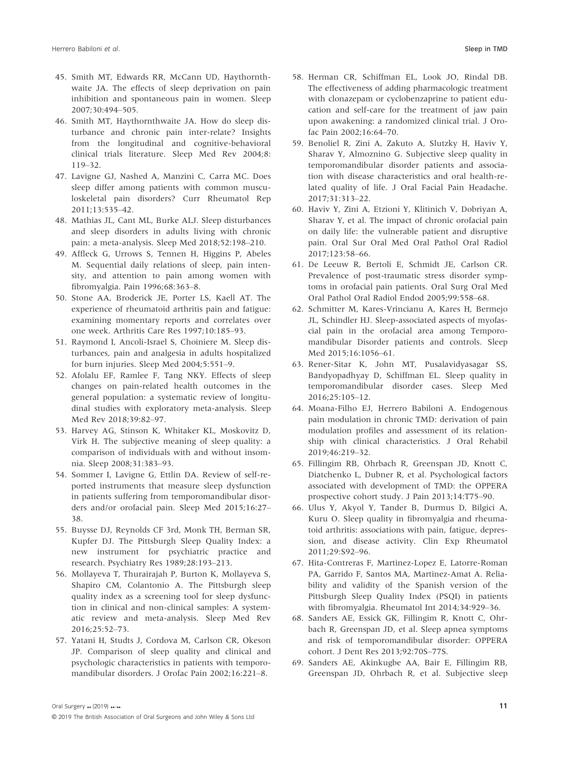- 45. Smith MT, Edwards RR, McCann UD, Haythornthwaite JA. The effects of sleep deprivation on pain inhibition and spontaneous pain in women. Sleep 2007;30:494–505.
- 46. Smith MT, Haythornthwaite JA. How do sleep disturbance and chronic pain inter-relate? Insights from the longitudinal and cognitive-behavioral clinical trials literature. Sleep Med Rev 2004;8: 119–32.
- 47. Lavigne GJ, Nashed A, Manzini C, Carra MC. Does sleep differ among patients with common musculoskeletal pain disorders? Curr Rheumatol Rep 2011;13:535–42.
- 48. Mathias JL, Cant ML, Burke ALJ. Sleep disturbances and sleep disorders in adults living with chronic pain: a meta-analysis. Sleep Med 2018;52:198–210.
- 49. Affleck G, Urrows S, Tennen H, Higgins P, Abeles M. Sequential daily relations of sleep, pain intensity, and attention to pain among women with fibromyalgia. Pain 1996;68:363–8.
- 50. Stone AA, Broderick JE, Porter LS, Kaell AT. The experience of rheumatoid arthritis pain and fatigue: examining momentary reports and correlates over one week. Arthritis Care Res 1997;10:185–93.
- 51. Raymond I, Ancoli-Israel S, Choiniere M. Sleep disturbances, pain and analgesia in adults hospitalized for burn injuries. Sleep Med 2004;5:551–9.
- 52. Afolalu EF, Ramlee F, Tang NKY. Effects of sleep changes on pain-related health outcomes in the general population: a systematic review of longitudinal studies with exploratory meta-analysis. Sleep Med Rev 2018;39:82–97.
- 53. Harvey AG, Stinson K, Whitaker KL, Moskovitz D, Virk H. The subjective meaning of sleep quality: a comparison of individuals with and without insomnia. Sleep 2008;31:383–93.
- 54. Sommer I, Lavigne G, Ettlin DA. Review of self-reported instruments that measure sleep dysfunction in patients suffering from temporomandibular disorders and/or orofacial pain. Sleep Med 2015;16:27– 38.
- 55. Buysse DJ, Reynolds CF 3rd, Monk TH, Berman SR, Kupfer DJ. The Pittsburgh Sleep Quality Index: a new instrument for psychiatric practice and research. Psychiatry Res 1989;28:193–213.
- 56. Mollayeva T, Thurairajah P, Burton K, Mollayeva S, Shapiro CM, Colantonio A. The Pittsburgh sleep quality index as a screening tool for sleep dysfunction in clinical and non-clinical samples: A systematic review and meta-analysis. Sleep Med Rev 2016;25:52–73.
- 57. Yatani H, Studts J, Cordova M, Carlson CR, Okeson JP. Comparison of sleep quality and clinical and psychologic characteristics in patients with temporomandibular disorders. J Orofac Pain 2002;16:221–8.
- 58. Herman CR, Schiffman EL, Look JO, Rindal DB. The effectiveness of adding pharmacologic treatment with clonazepam or cyclobenzaprine to patient education and self-care for the treatment of jaw pain upon awakening: a randomized clinical trial. J Orofac Pain 2002;16:64–70.
- 59. Benoliel R, Zini A, Zakuto A, Slutzky H, Haviv Y, Sharav Y, Almoznino G. Subjective sleep quality in temporomandibular disorder patients and association with disease characteristics and oral health-related quality of life. J Oral Facial Pain Headache. 2017;31:313–22.
- 60. Haviv Y, Zini A, Etzioni Y, Klitinich V, Dobriyan A, Sharav Y, et al. The impact of chronic orofacial pain on daily life: the vulnerable patient and disruptive pain. Oral Sur Oral Med Oral Pathol Oral Radiol 2017;123:58–66.
- 61. De Leeuw R, Bertoli E, Schmidt JE, Carlson CR. Prevalence of post-traumatic stress disorder symptoms in orofacial pain patients. Oral Surg Oral Med Oral Pathol Oral Radiol Endod 2005;99:558–68.
- 62. Schmitter M, Kares-Vrincianu A, Kares H, Bermejo JL, Schindler HJ. Sleep-associated aspects of myofascial pain in the orofacial area among Temporomandibular Disorder patients and controls. Sleep Med 2015;16:1056–61.
- 63. Rener-Sitar K, John MT, Pusalavidyasagar SS, Bandyopadhyay D, Schiffman EL. Sleep quality in temporomandibular disorder cases. Sleep Med 2016;25:105–12.
- 64. Moana-Filho EJ, Herrero Babiloni A. Endogenous pain modulation in chronic TMD: derivation of pain modulation profiles and assessment of its relationship with clinical characteristics. J Oral Rehabil 2019;46:219–32.
- 65. Fillingim RB, Ohrbach R, Greenspan JD, Knott C, Diatchenko L, Dubner R, et al. Psychological factors associated with development of TMD: the OPPERA prospective cohort study. J Pain 2013;14:T75–90.
- 66. Ulus Y, Akyol Y, Tander B, Durmus D, Bilgici A, Kuru O. Sleep quality in fibromyalgia and rheumatoid arthritis: associations with pain, fatigue, depression, and disease activity. Clin Exp Rheumatol 2011;29:S92–96.
- 67. Hita-Contreras F, Martinez-Lopez E, Latorre-Roman PA, Garrido F, Santos MA, Martinez-Amat A. Reliability and validity of the Spanish version of the Pittsburgh Sleep Quality Index (PSQI) in patients with fibromyalgia. Rheumatol Int 2014;34:929–36.
- 68. Sanders AE, Essick GK, Fillingim R, Knott C, Ohrbach R, Greenspan JD, et al. Sleep apnea symptoms and risk of temporomandibular disorder: OPPERA cohort. J Dent Res 2013;92:70S–77S.
- 69. Sanders AE, Akinkugbe AA, Bair E, Fillingim RB, Greenspan JD, Ohrbach R, et al. Subjective sleep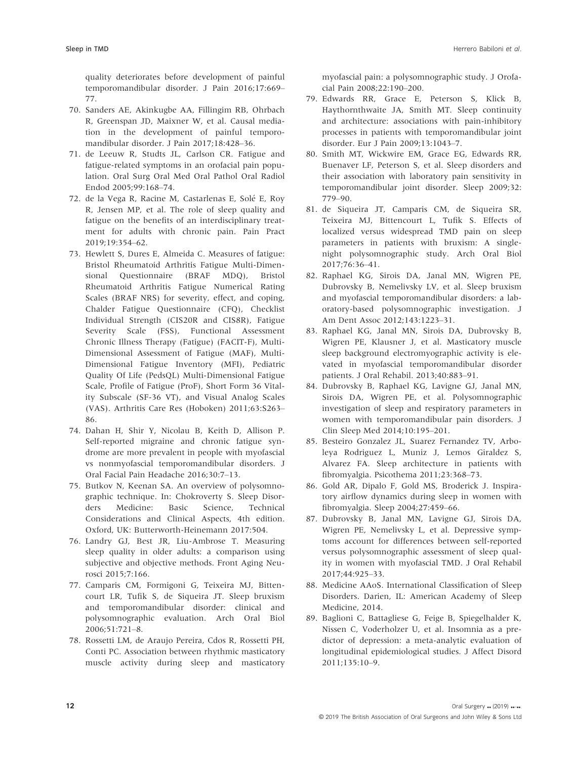quality deteriorates before development of painful temporomandibular disorder. J Pain 2016;17:669– 77.

- 70. Sanders AE, Akinkugbe AA, Fillingim RB, Ohrbach R, Greenspan JD, Maixner W, et al. Causal mediation in the development of painful temporomandibular disorder. J Pain 2017;18:428–36.
- 71. de Leeuw R, Studts JL, Carlson CR. Fatigue and fatigue-related symptoms in an orofacial pain population. Oral Surg Oral Med Oral Pathol Oral Radiol Endod 2005;99:168–74.
- 72. de la Vega R, Racine M, Castarlenas E, Solé E, Roy R, Jensen MP, et al. The role of sleep quality and fatigue on the benefits of an interdisciplinary treatment for adults with chronic pain. Pain Pract 2019;19:354–62.
- 73. Hewlett S, Dures E, Almeida C. Measures of fatigue: Bristol Rheumatoid Arthritis Fatigue Multi-Dimensional Questionnaire (BRAF MDQ), Bristol Rheumatoid Arthritis Fatigue Numerical Rating Scales (BRAF NRS) for severity, effect, and coping, Chalder Fatigue Questionnaire (CFQ), Checklist Individual Strength (CIS20R and CIS8R), Fatigue Severity Scale (FSS), Functional Assessment Chronic Illness Therapy (Fatigue) (FACIT-F), Multi-Dimensional Assessment of Fatigue (MAF), Multi-Dimensional Fatigue Inventory (MFI), Pediatric Quality Of Life (PedsQL) Multi-Dimensional Fatigue Scale, Profile of Fatigue (ProF), Short Form 36 Vitality Subscale (SF-36 VT), and Visual Analog Scales (VAS). Arthritis Care Res (Hoboken) 2011;63:S263– 86.
- 74. Dahan H, Shir Y, Nicolau B, Keith D, Allison P. Self-reported migraine and chronic fatigue syndrome are more prevalent in people with myofascial vs nonmyofascial temporomandibular disorders. J Oral Facial Pain Headache 2016;30:7–13.
- 75. Butkov N, Keenan SA. An overview of polysomnographic technique. In: Chokroverty S. Sleep Disorders Medicine: Basic Science, Technical Considerations and Clinical Aspects, 4th edition. Oxford, UK: Butterworth-Heinemann 2017:504.
- 76. Landry GJ, Best JR, Liu-Ambrose T. Measuring sleep quality in older adults: a comparison using subjective and objective methods. Front Aging Neurosci 2015;7:166.
- 77. Camparis CM, Formigoni G, Teixeira MJ, Bittencourt LR, Tufik S, de Siqueira JT. Sleep bruxism and temporomandibular disorder: clinical and polysomnographic evaluation. Arch Oral Biol 2006;51:721–8.
- 78. Rossetti LM, de Araujo Pereira, Cdos R, Rossetti PH, Conti PC. Association between rhythmic masticatory muscle activity during sleep and masticatory

myofascial pain: a polysomnographic study. J Orofacial Pain 2008;22:190–200.

- 79. Edwards RR, Grace E, Peterson S, Klick B, Haythornthwaite JA, Smith MT. Sleep continuity and architecture: associations with pain-inhibitory processes in patients with temporomandibular joint disorder. Eur J Pain 2009;13:1043–7.
- 80. Smith MT, Wickwire EM, Grace EG, Edwards RR, Buenaver LF, Peterson S, et al. Sleep disorders and their association with laboratory pain sensitivity in temporomandibular joint disorder. Sleep 2009;32: 779–90.
- 81. de Siqueira JT, Camparis CM, de Siqueira SR, Teixeira MJ, Bittencourt L, Tufik S. Effects of localized versus widespread TMD pain on sleep parameters in patients with bruxism: A singlenight polysomnographic study. Arch Oral Biol 2017;76:36–41.
- 82. Raphael KG, Sirois DA, Janal MN, Wigren PE, Dubrovsky B, Nemelivsky LV, et al. Sleep bruxism and myofascial temporomandibular disorders: a laboratory-based polysomnographic investigation. J Am Dent Assoc 2012;143:1223–31.
- 83. Raphael KG, Janal MN, Sirois DA, Dubrovsky B, Wigren PE, Klausner J, et al. Masticatory muscle sleep background electromyographic activity is elevated in myofascial temporomandibular disorder patients. J Oral Rehabil. 2013;40:883–91.
- 84. Dubrovsky B, Raphael KG, Lavigne GJ, Janal MN, Sirois DA, Wigren PE, et al. Polysomnographic investigation of sleep and respiratory parameters in women with temporomandibular pain disorders. J Clin Sleep Med 2014;10:195–201.
- 85. Besteiro Gonzalez JL, Suarez Fernandez TV, Arboleya Rodriguez L, Muniz J, Lemos Giraldez S, Alvarez FA. Sleep architecture in patients with fibromyalgia. Psicothema 2011;23:368–73.
- 86. Gold AR, Dipalo F, Gold MS, Broderick J. Inspiratory airflow dynamics during sleep in women with fibromyalgia. Sleep 2004;27:459–66.
- 87. Dubrovsky B, Janal MN, Lavigne GJ, Sirois DA, Wigren PE, Nemelivsky L, et al. Depressive symptoms account for differences between self-reported versus polysomnographic assessment of sleep quality in women with myofascial TMD. J Oral Rehabil 2017;44:925–33.
- 88. Medicine AAoS. International Classification of Sleep Disorders. Darien, IL: American Academy of Sleep Medicine, 2014.
- 89. Baglioni C, Battagliese G, Feige B, Spiegelhalder K, Nissen C, Voderholzer U, et al. Insomnia as a predictor of depression: a meta-analytic evaluation of longitudinal epidemiological studies. J Affect Disord 2011;135:10–9.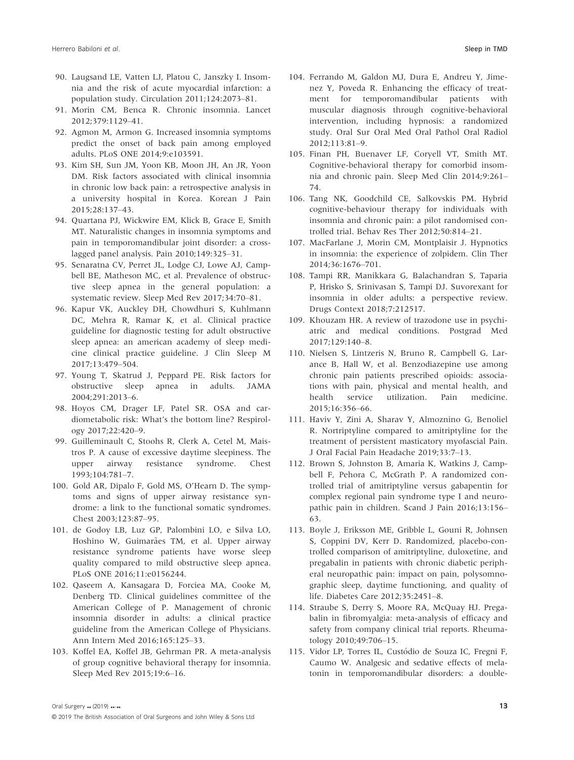- 90. Laugsand LE, Vatten LJ, Platou C, Janszky I. Insomnia and the risk of acute myocardial infarction: a population study. Circulation 2011;124:2073–81.
- 91. Morin CM, Benca R. Chronic insomnia. Lancet 2012;379:1129–41.
- 92. Agmon M, Armon G. Increased insomnia symptoms predict the onset of back pain among employed adults. PLoS ONE 2014;9:e103591.
- 93. Kim SH, Sun JM, Yoon KB, Moon JH, An JR, Yoon DM. Risk factors associated with clinical insomnia in chronic low back pain: a retrospective analysis in a university hospital in Korea. Korean J Pain 2015;28:137–43.
- 94. Quartana PJ, Wickwire EM, Klick B, Grace E, Smith MT. Naturalistic changes in insomnia symptoms and pain in temporomandibular joint disorder: a crosslagged panel analysis. Pain 2010;149:325–31.
- 95. Senaratna CV, Perret JL, Lodge CJ, Lowe AJ, Campbell BE, Matheson MC, et al. Prevalence of obstructive sleep apnea in the general population: a systematic review. Sleep Med Rev 2017;34:70–81.
- 96. Kapur VK, Auckley DH, Chowdhuri S, Kuhlmann DC, Mehra R, Ramar K, et al. Clinical practice guideline for diagnostic testing for adult obstructive sleep apnea: an american academy of sleep medicine clinical practice guideline. J Clin Sleep M 2017;13:479–504.
- 97. Young T, Skatrud J, Peppard PE. Risk factors for obstructive sleep apnea in adults. JAMA 2004;291:2013–6.
- 98. Hoyos CM, Drager LF, Patel SR. OSA and cardiometabolic risk: What's the bottom line? Respirology 2017;22:420–9.
- 99. Guilleminault C, Stoohs R, Clerk A, Cetel M, Maistros P. A cause of excessive daytime sleepiness. The upper airway resistance syndrome. Chest 1993;104:781–7.
- 100. Gold AR, Dipalo F, Gold MS, O'Hearn D. The symptoms and signs of upper airway resistance syndrome: a link to the functional somatic syndromes. Chest 2003;123:87–95.
- 101. de Godoy LB, Luz GP, Palombini LO, e Silva LO, Hoshino W, Guimarães TM, et al. Upper airway resistance syndrome patients have worse sleep quality compared to mild obstructive sleep apnea. PLoS ONE 2016;11:e0156244.
- 102. Qaseem A, Kansagara D, Forciea MA, Cooke M, Denberg TD. Clinical guidelines committee of the American College of P. Management of chronic insomnia disorder in adults: a clinical practice guideline from the American College of Physicians. Ann Intern Med 2016;165:125–33.
- 103. Koffel EA, Koffel JB, Gehrman PR. A meta-analysis of group cognitive behavioral therapy for insomnia. Sleep Med Rev 2015;19:6–16.
- 104. Ferrando M, Galdon MJ, Dura E, Andreu Y, Jimenez Y, Poveda R. Enhancing the efficacy of treatment for temporomandibular patients with muscular diagnosis through cognitive-behavioral intervention, including hypnosis: a randomized study. Oral Sur Oral Med Oral Pathol Oral Radiol 2012;113:81–9.
- 105. Finan PH, Buenaver LF, Coryell VT, Smith MT. Cognitive-behavioral therapy for comorbid insomnia and chronic pain. Sleep Med Clin 2014;9:261– 74.
- 106. Tang NK, Goodchild CE, Salkovskis PM. Hybrid cognitive-behaviour therapy for individuals with insomnia and chronic pain: a pilot randomised controlled trial. Behav Res Ther 2012;50:814–21.
- 107. MacFarlane J, Morin CM, Montplaisir J. Hypnotics in insomnia: the experience of zolpidem. Clin Ther 2014;36:1676–701.
- 108. Tampi RR, Manikkara G, Balachandran S, Taparia P, Hrisko S, Srinivasan S, Tampi DJ. Suvorexant for insomnia in older adults: a perspective review. Drugs Context 2018;7:212517.
- 109. Khouzam HR. A review of trazodone use in psychiatric and medical conditions. Postgrad Med 2017;129:140–8.
- 110. Nielsen S, Lintzeris N, Bruno R, Campbell G, Larance B, Hall W, et al. Benzodiazepine use among chronic pain patients prescribed opioids: associations with pain, physical and mental health, and health service utilization. Pain medicine. 2015;16:356–66.
- 111. Haviv Y, Zini A, Sharav Y, Almoznino G, Benoliel R. Nortriptyline compared to amitriptyline for the treatment of persistent masticatory myofascial Pain. J Oral Facial Pain Headache 2019;33:7–13.
- 112. Brown S, Johnston B, Amaria K, Watkins J, Campbell F, Pehora C, McGrath P. A randomized controlled trial of amitriptyline versus gabapentin for complex regional pain syndrome type I and neuropathic pain in children. Scand J Pain 2016;13:156– 63.
- 113. Boyle J, Eriksson ME, Gribble L, Gouni R, Johnsen S, Coppini DV, Kerr D. Randomized, placebo-controlled comparison of amitriptyline, duloxetine, and pregabalin in patients with chronic diabetic peripheral neuropathic pain: impact on pain, polysomnographic sleep, daytime functioning, and quality of life. Diabetes Care 2012;35:2451–8.
- 114. Straube S, Derry S, Moore RA, McQuay HJ. Pregabalin in fibromyalgia: meta-analysis of efficacy and safety from company clinical trial reports. Rheumatology 2010;49:706–15.
- 115. Vidor LP, Torres IL, Custódio de Souza IC, Fregni F, Caumo W. Analgesic and sedative effects of melatonin in temporomandibular disorders: a double-